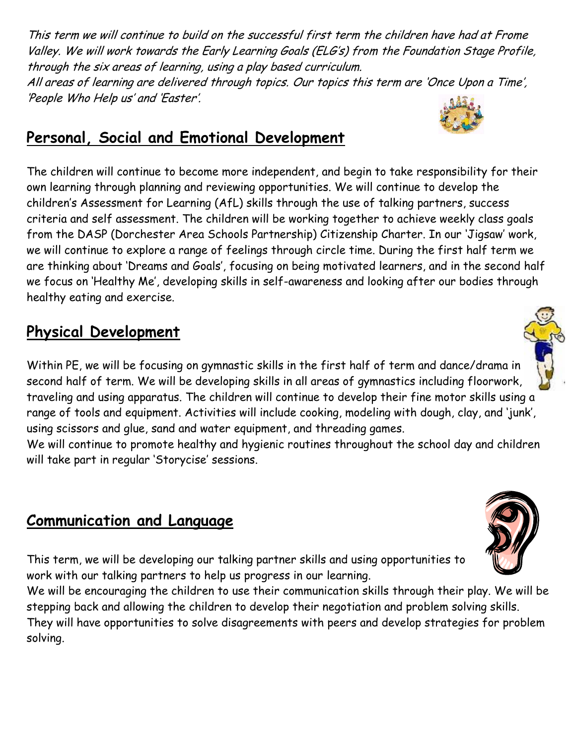This term we will continue to build on the successful first term the children have had at Frome Valley. We will work towards the Early Learning Goals (ELG's) from the Foundation Stage Profile, through the six areas of learning, using a play based curriculum. All areas of learning are delivered through topics. Our topics this term are 'Once Upon a Time', 'People Who Help us' and 'Easter'.

#### **Personal, Social and Emotional Development**

The children will continue to become more independent, and begin to take responsibility for their own learning through planning and reviewing opportunities. We will continue to develop the children's Assessment for Learning (AfL) skills through the use of talking partners, success criteria and self assessment. The children will be working together to achieve weekly class goals from the DASP (Dorchester Area Schools Partnership) Citizenship Charter. In our 'Jigsaw' work, we will continue to explore a range of feelings through circle time. During the first half term we are thinking about 'Dreams and Goals', focusing on being motivated learners, and in the second half we focus on 'Healthy Me', developing skills in self-awareness and looking after our bodies through healthy eating and exercise.

#### **Physical Development**

Within PE, we will be focusing on gymnastic skills in the first half of term and dance/drama in second half of term. We will be developing skills in all areas of gymnastics including floorwork, traveling and using apparatus. The children will continue to develop their fine motor skills using a range of tools and equipment. Activities will include cooking, modeling with dough, clay, and 'junk', using scissors and glue, sand and water equipment, and threading games.

We will continue to promote healthy and hygienic routines throughout the school day and children will take part in regular 'Storycise' sessions.

#### **Communication and Language**

This term, we will be developing our talking partner skills and using opportunities to work with our talking partners to help us progress in our learning.

We will be encouraging the children to use their communication skills through their play. We will be stepping back and allowing the children to develop their negotiation and problem solving skills. They will have opportunities to solve disagreements with peers and develop strategies for problem solving.





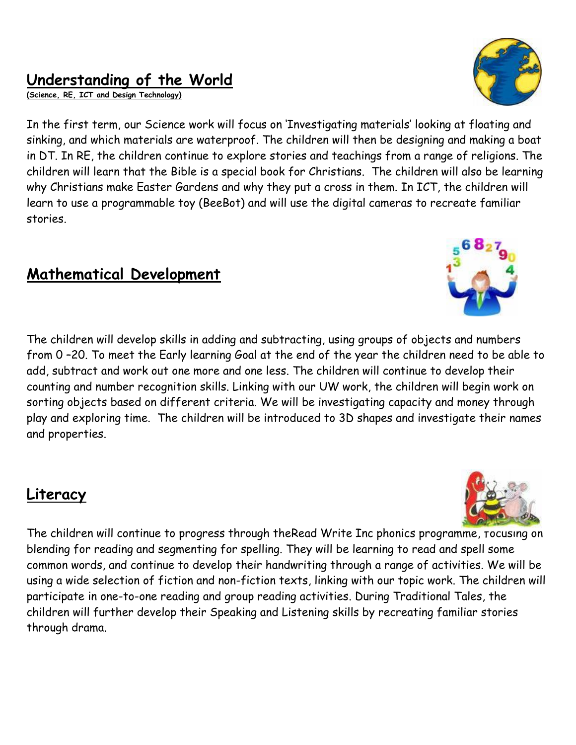#### **Understanding of the World**

**(Science, RE, ICT and Design Technology)**

In the first term, our Science work will focus on 'Investigating materials' looking at floating and sinking, and which materials are waterproof. The children will then be designing and making a boat in DT. In RE, the children continue to explore stories and teachings from a range of religions. The children will learn that the Bible is a special book for Christians. The children will also be learning why Christians make Easter Gardens and why they put a cross in them. In ICT, the children will learn to use a programmable toy (BeeBot) and will use the digital cameras to recreate familiar stories.

#### **Mathematical Development**

The children will develop skills in adding and subtracting, using groups of objects and numbers from 0 –20. To meet the Early learning Goal at the end of the year the children need to be able to add, subtract and work out one more and one less. The children will continue to develop their counting and number recognition skills. Linking with our UW work, the children will begin work on sorting objects based on different criteria. We will be investigating capacity and money through play and exploring time. The children will be introduced to 3D shapes and investigate their names and properties.

#### **Literacy**

The children will continue to progress through theRead Write Inc phonics programme, focusing on blending for reading and segmenting for spelling. They will be learning to read and spell some common words, and continue to develop their handwriting through a range of activities. We will be using a wide selection of fiction and non-fiction texts, linking with our topic work. The children will participate in one-to-one reading and group reading activities. During Traditional Tales, the children will further develop their Speaking and Listening skills by recreating familiar stories through drama.





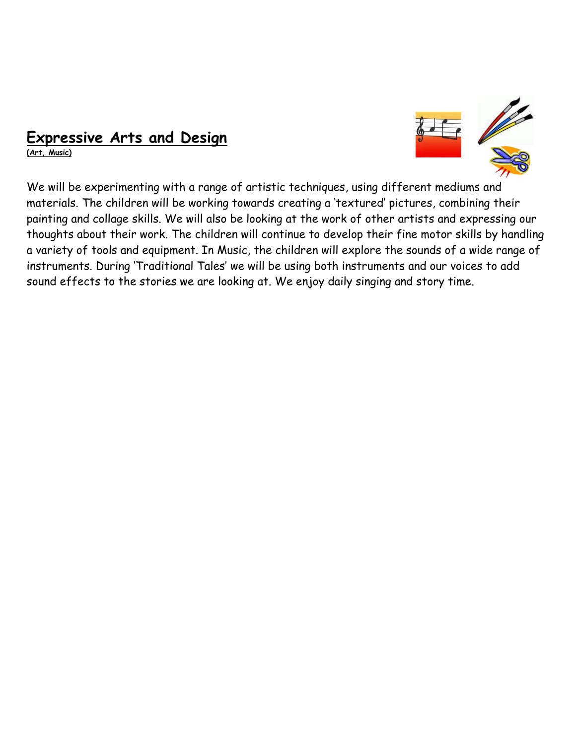#### **Expressive Arts and Design**

**(Art, Music)**



We will be experimenting with a range of artistic techniques, using different mediums and materials. The children will be working towards creating a 'textured' pictures, combining their painting and collage skills. We will also be looking at the work of other artists and expressing our thoughts about their work. The children will continue to develop their fine motor skills by handling a variety of tools and equipment. In Music, the children will explore the sounds of a wide range of instruments. During 'Traditional Tales' we will be using both instruments and our voices to add sound effects to the stories we are looking at. We enjoy daily singing and story time.